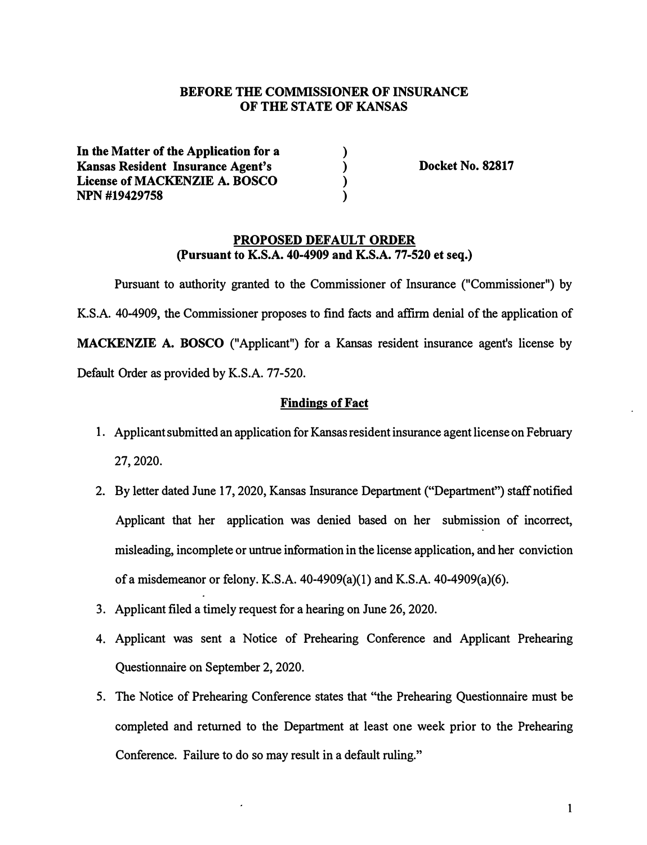## BEFORE THE COMMISSIONER OF INSURANCE OF THE STATE OF KANSAS

**) ) ) )** 

In the Matter of the Application for a Kansas Resident Insurance Agent's License of MACKENZIE A. BOSCO NPN #19429758

Docket No. 82817

#### PROPOSED DEFAULT ORDER (Pursuant to K.S.A. 40-4909 and K.S.A. 77-520 et seq.)

Pursuant to authority granted to the Commissioner of Insurance ("Commissioner") by K.S.A. 40-4909, the Commissioner proposes to find facts and affirm denial of the application of MACKENZIE A. BOSCO ("Applicant") for a Kansas resident insurance agent's license by Default Order as provided by K.S.A. 77-520.

## Findings of Fact

- 1. Applicant submitted an application for Kansas resident insurance agent license on February 27, 2020.
- 2. By letter dated June 17, 2020, Kansas Insurance Department ("Department") staff notified Applicant that her application was denied based on her submission of incorrect, misleading, incomplete or untrue information in the license application, and her conviction of a misdemeanor or felony. K.S.A. 40-4909(a)(l) and K.S.A. 40-4909(a)(6).
- 3. Applicant filed a timely request for a hearing on June 26, 2020.
- 4. Applicant was sent a Notice of Prehearing Conference and Applicant Prehearing Questionnaire on September 2, 2020.
- 5. The Notice of Prehearing Conference states that "the Prehearing Questionnaire must be completed and returned to the Department at least one week prior to the Prehearing Conference. Failure to do so may result in a default ruling."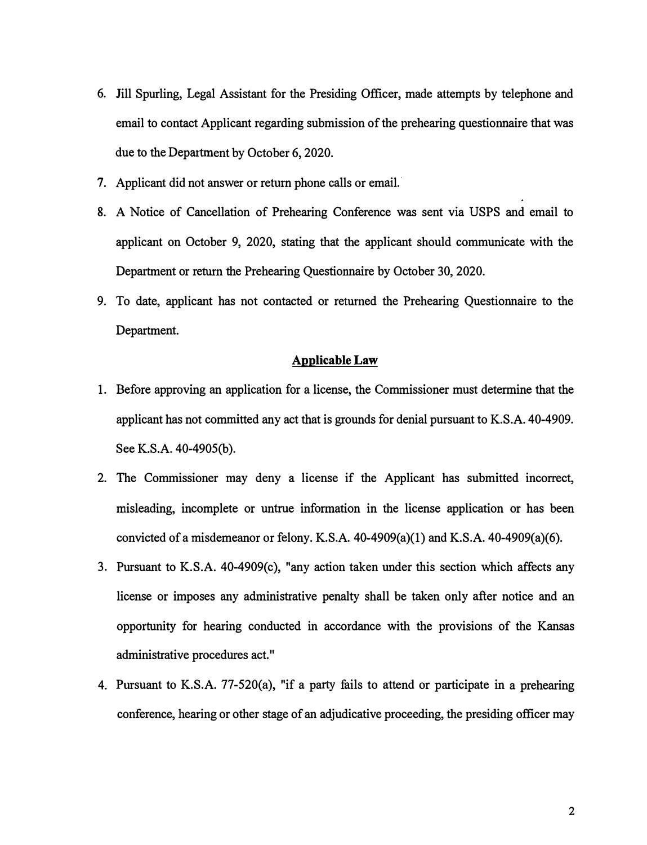- **6. Jill Spurling, Legal Assistant for the Presiding Officer, made attempts by telephone and email to contact Applicant regarding submission of the prehearing questionnaire that was due to the Department by October 6, 2020.**
- **7. Applicant did not answer or return phone calls or email.·**
- **8. A Notice of Cancellation of Prehearing Conference was sent via USPS and email to applicant on October 9, 2020, stating that the applicant should communicate with the Department or return the Prehearing Questionnaire by October 30, 2020.**
- **9. To date, applicant has not contacted or returned the Prehearing Questionnaire to the Department.**

#### **Applicable Law**

- **1. Before approving an application for a license, the Commissioner must determine that the applicant has not committed any act that is grounds for denial pursuant to K.S.A. 40-4909.** See K.S.A. 40-4905(b).
- **2. The Commissioner may deny a license if the Applicant has submitted incorrect, misleading, incomplete or untrue information in the license application or has been convicted of a misdemeanor or felony. K.S.A. 40-4909(a)(l) and K.S.A. 40-4909(a)(6).**
- **3. Pursuant to K.S.A. 40-4909(c), "any action taken under this section which affects any license or imposes any administrative penalty shall be taken only after notice and an opportunity for hearing conducted in accordance with the provisions of the Kansas administrative procedures act."**
- **4. Pursuant to K.S.A. 77-520(a), "if a party fails to attend or participate in a prehearing conference, hearing or other stage of an adjudicative proceeding, the presiding officer may**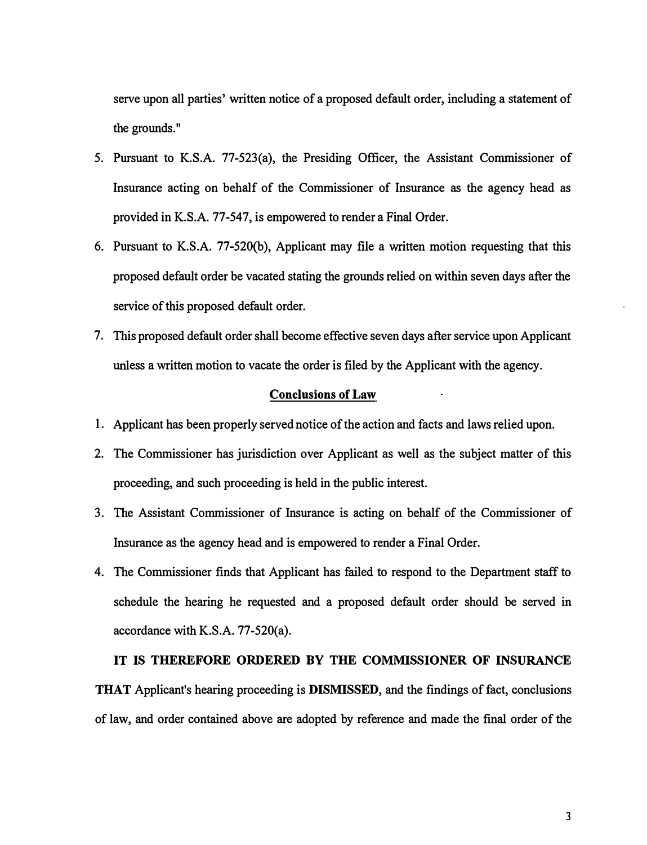serve upon all parties' written notice of a proposed default order, including a statement of the grounds."

- 5. Pursuant to K.S.A. 77-523(a), the Presiding Officer, the Assistant Commissioner of Insurance acting on behalf of the Commissioner of Insurance as the agency head as provided in K.S.A. 77-547, is empowered to render a Final Order.
- 6. Pursuant to K.S.A. 77-520(b), Applicant may file a written motion requesting that this proposed default order be vacated stating the grounds relied on within seven days after the service of this proposed default order.
- 7. This proposed default order shall become effective seven days after service upon Applicant unless a written motion to vacate the order is filed by the Applicant with the agency.

#### **Conclusions of Law**

- 1. Applicant has been properly served notice of the action and facts and laws relied upon.
- 2. The Commissioner has jurisdiction over Applicant as well as the subject matter of this proceeding, and such proceeding is held in the public interest.
- 3. The Assistant Commissioner of Insurance is acting on behalf of the Commissioner of Insurance as the agency head and is empowered to render a Final Order.
- 4. The Commissioner finds that Applicant has failed to respond to the Department staff to schedule the hearing he requested and a proposed default order should be served in accordance with K.S.A. 77-520(a).

## IT IS THEREFORE ORDERED BY THE COMMISSIONER OF INSURANCE

THAT Applicant's hearing proceeding is **DISMISSED**, and the findings of fact, conclusions of law, and order contained above are adopted by reference and made the final order of the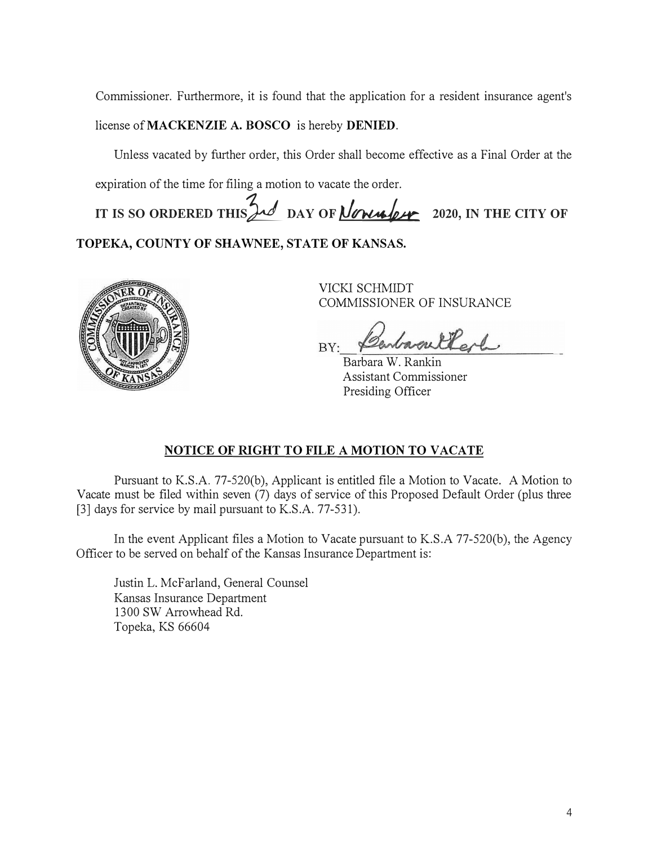Commissioner. Furthermore, it is found that the application for a resident insurance agent's

license of **MACKENZIE A. BOSCO** is hereby **DENIED.**

Unless vacated by further order, this Order shall become effective as a Final Order at the expiration of the time for filing a motion to vacate the order.

IT IS SO ORDERED THIS  $\frac{1}{2}$  **DAY OF** *<u>Agnual 2020</u>*, IN THE CITY OF

**TOPEKA, COUNTY OF SHAWNEE, STATE OF KANSAS.**



VICKI SCHMIDT COMMISSIONER OF INSURANCE

ellerly BY:

Barbara W. Rankin Assistant Commissioner Presiding Officer

# **NOTICE OF RIGHT TO FILE A MOTION TO VACATE**

Pursuant to K.S.A. 77-520(b), Applicant is entitled file a Motion to Vacate. A Motion to Vacate must be filed within seven (7) days of service of this Proposed Default Order (plus three [3] days for service by mail pursuant to K.S.A. 77-531).

In the event Applicant files a Motion to Vacate pursuant to K.S.A 77-520(b), the Agency Officer to be served on behalf of the Kansas Insurance Department is:

Justin L. McFarland, General Counsel Kansas Insurance Department 1300 SW Arrowhead Rd. Topeka, KS 66604